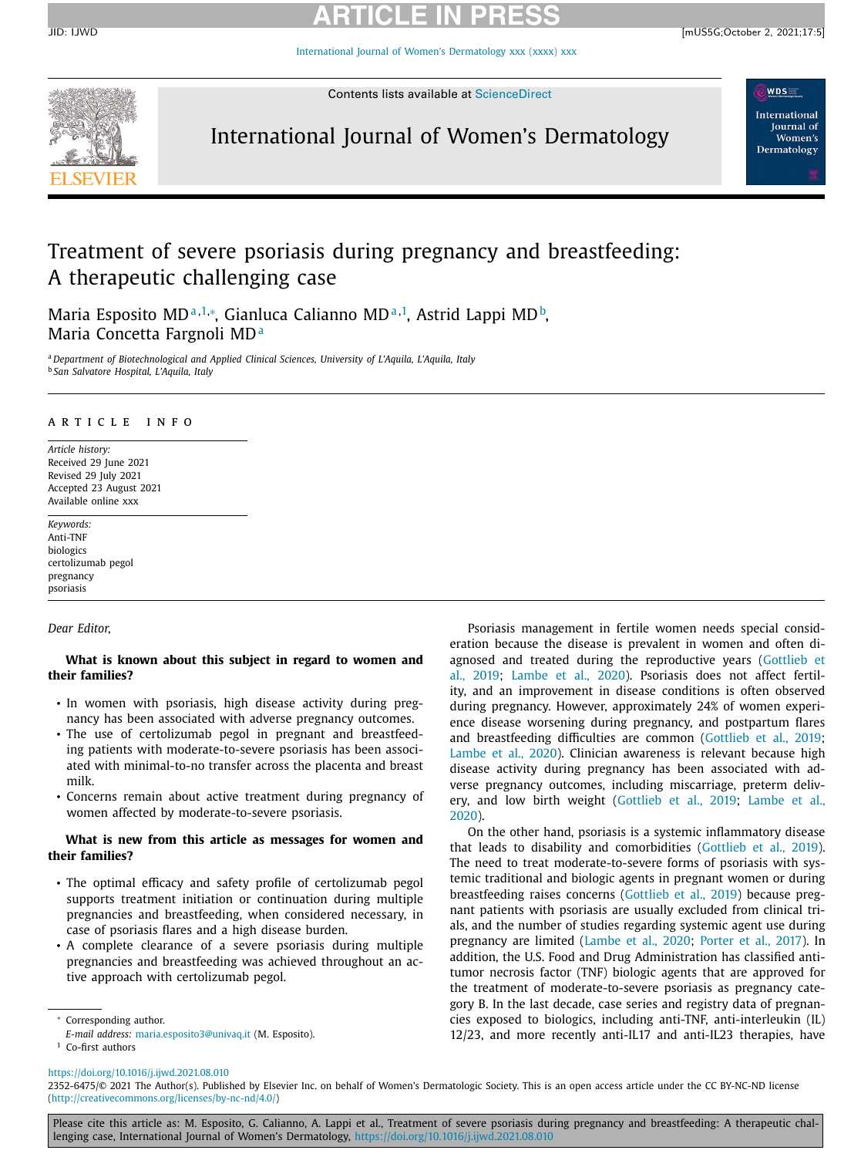# **ARTICLE IN PRESS**

[International](https://doi.org/10.1016/j.ijwd.2021.08.010) Journal of Women's Dermatology xxx (xxxx) xxx



Contents lists available at [ScienceDirect](http://www.ScienceDirect.com)

## International Journal of Women's Dermatology

**WDS** International **Journal** of Women's Dermatology

## Treatment of severe psoriasis during pregnancy and breastfeeding: A therapeutic challenging case

Maria Esposito MD<sup>a,1,</sup>\*, Gianluca Calianno MD<sup>a,1</sup>, Astrid Lappi MD<sup>b</sup>, Maria Concetta Fargnoli MD<sup>a</sup>

<sup>a</sup> *Department of Biotechnological and Applied Clinical Sciences, University of L'Aquila, L'Aquila, Italy* <sup>b</sup> *San Salvatore Hospital, L'Aquila, Italy*

### a r t i c l e i n f o

*Article history:* Received 29 June 2021 Revised 29 July 2021 Accepted 23 August 2021 Available online xxx

*Keywords:* Anti-TNF biologics certolizumab pegol pregnancy psoriasis

*Dear Editor,*

### **What is known about this subject in regard to women and their families?**

- In women with psoriasis, high disease activity during pregnancy has been associated with adverse pregnancy outcomes.
- The use of certolizumab pegol in pregnant and breastfeeding patients with moderate-to-severe psoriasis has been associated with minimal-to-no transfer across the placenta and breast milk.
- Concerns remain about active treatment during pregnancy of women affected by moderate-to-severe psoriasis.

### **What is new from this article as messages for women and their families?**

- The optimal efficacy and safety profile of certolizumab pegol supports treatment initiation or continuation during multiple pregnancies and breastfeeding, when considered necessary, in case of psoriasis flares and a high disease burden.
- A complete clearance of a severe psoriasis during multiple pregnancies and breastfeeding was achieved throughout an active approach with certolizumab pegol.

<sup>∗</sup> Corresponding author.

Psoriasis management in fertile women needs special consideration because the disease is prevalent in women and often diagnosed and treated during the [reproductive](#page-2-0) years (Gottlieb et al., 2019; [Lambe](#page-2-0) et al., 2020). Psoriasis does not affect fertility, and an improvement in disease conditions is often observed during pregnancy. However, approximately 24% of women experience disease worsening during pregnancy, and postpartum flares and breastfeeding difficulties are common [\(Gottlieb](#page-2-0) et al., 2019; [Lambe](#page-2-0) et al., 2020). Clinician awareness is relevant because high disease activity during pregnancy has been associated with adverse pregnancy outcomes, including miscarriage, preterm delivery, and low birth weight [\(Gottlieb](#page-2-0) et al., 2019; Lambe et al., 2020).

On the other hand, psoriasis is a systemic inflammatory disease that leads to disability and comorbidities [\(Gottlieb](#page-2-0) et al., 2019). The need to treat moderate-to-severe forms of psoriasis with systemic traditional and biologic agents in pregnant women or during breastfeeding raises concerns [\(Gottlieb](#page-2-0) et al., 2019) because pregnant patients with psoriasis are usually excluded from clinical trials, and the number of studies regarding systemic agent use during pregnancy are limited [\(Lambe](#page-2-0) et al., 2020; [Porter](#page-2-0) et al., 2017). In addition, the U.S. Food and Drug Administration has classified antitumor necrosis factor (TNF) biologic agents that are approved for the treatment of moderate-to-severe psoriasis as pregnancy category B. In the last decade, case series and registry data of pregnancies exposed to biologics, including anti-TNF, anti-interleukin (IL) 12/23, and more recently anti-IL17 and anti-IL23 therapies, have

Please cite this article as: M. Esposito, G. Calianno, A. Lappi et al., Treatment of severe psoriasis during pregnancy and breastfeeding: A therapeutic challenging case, International Journal of Women's Dermatology, <https://doi.org/10.1016/j.ijwd.2021.08.010>

*E-mail address:* [maria.esposito3@univaq.it](mailto:maria.esposito3@univaq.it) (M. Esposito).

<sup>&</sup>lt;sup>1</sup> Co-first authors

<https://doi.org/10.1016/j.ijwd.2021.08.010>

<sup>2352-6475/© 2021</sup> The Author(s). Published by Elsevier Inc. on behalf of Women's Dermatologic Society. This is an open access article under the CC BY-NC-ND license [\(http://creativecommons.org/licenses/by-nc-nd/4.0/\)](http://creativecommons.org/licenses/by-nc-nd/4.0/)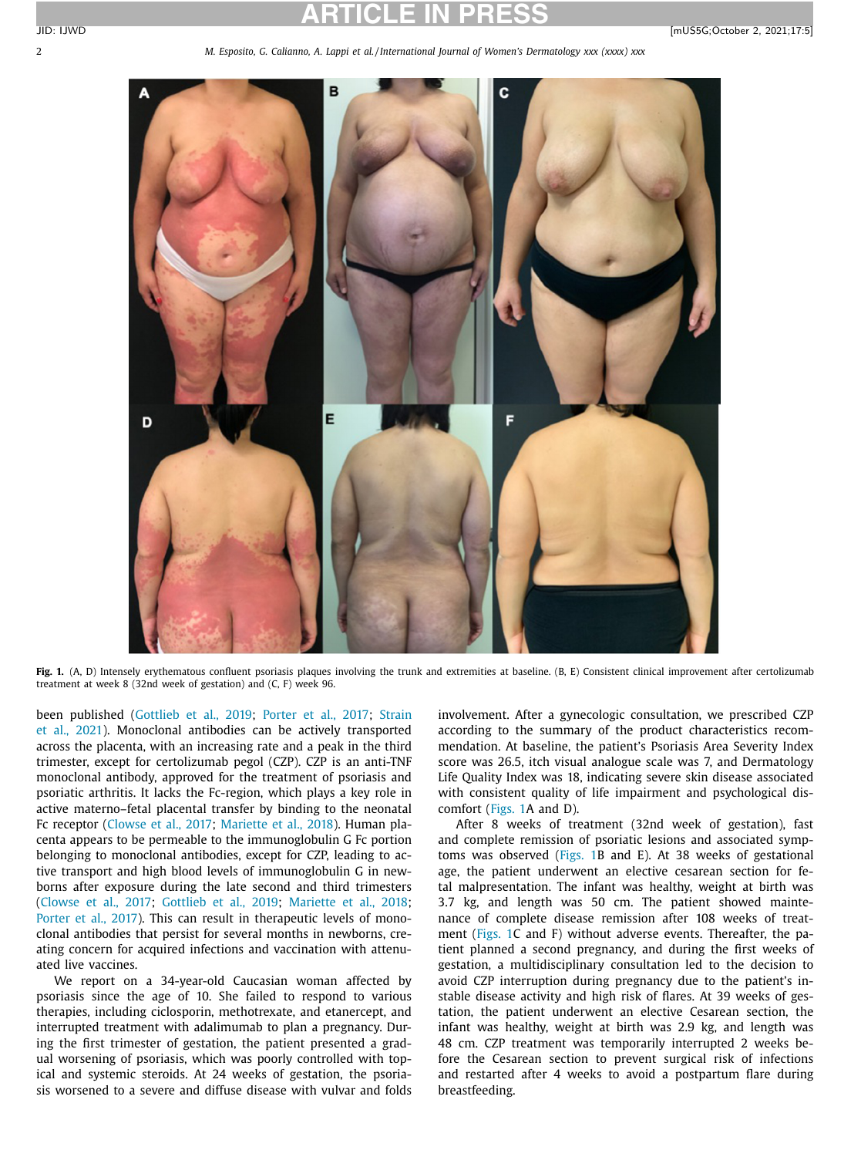2 *M. Esposito, G. Calianno, A. Lappi et al. / International Journal of Women's Dermatology xxx (xxxx) xxx*



**Fig. 1.** (A, D) Intensely erythematous confluent psoriasis plaques involving the trunk and extremities at baseline. (B, E) Consistent clinical improvement after certolizumab treatment at week 8 (32nd week of gestation) and (C, F) week 96.

been published [\(Gottlieb](#page-2-0) et al., 2019; [Porter](#page-2-0) et al., 2017; Strain et al., 2021). [Monoclonal](#page-2-0) antibodies can be actively transported across the placenta, with an increasing rate and a peak in the third trimester, except for certolizumab pegol (CZP). CZP is an anti-TNF monoclonal antibody, approved for the treatment of psoriasis and psoriatic arthritis. It lacks the Fc-region, which plays a key role in active materno–fetal placental transfer by binding to the neonatal Fc receptor [\(Clowse](#page-2-0) et al., 2017; [Mariette](#page-2-0) et al., 2018). Human placenta appears to be permeable to the immunoglobulin G Fc portion belonging to monoclonal antibodies, except for CZP, leading to active transport and high blood levels of immunoglobulin G in newborns after exposure during the late second and third trimesters [\(Clowse](#page-2-0) et al., 2017; [Gottlieb](#page-2-0) et al., 2019; [Mariette](#page-2-0) et al., 2018; [Porter](#page-2-0) et al., 2017). This can result in therapeutic levels of monoclonal antibodies that persist for several months in newborns, creating concern for acquired infections and vaccination with attenuated live vaccines.

We report on a 34-year-old Caucasian woman affected by psoriasis since the age of 10. She failed to respond to various therapies, including ciclosporin, methotrexate, and etanercept, and interrupted treatment with adalimumab to plan a pregnancy. During the first trimester of gestation, the patient presented a gradual worsening of psoriasis, which was poorly controlled with topical and systemic steroids. At 24 weeks of gestation, the psoriasis worsened to a severe and diffuse disease with vulvar and folds

involvement. After a gynecologic consultation, we prescribed CZP according to the summary of the product characteristics recommendation. At baseline, the patient's Psoriasis Area Severity Index score was 26.5, itch visual analogue scale was 7, and Dermatology Life Quality Index was 18, indicating severe skin disease associated with consistent quality of life impairment and psychological discomfort (Figs. 1A and D).

After 8 weeks of treatment (32nd week of gestation), fast and complete remission of psoriatic lesions and associated symptoms was observed (Figs. 1B and E). At 38 weeks of gestational age, the patient underwent an elective cesarean section for fetal malpresentation. The infant was healthy, weight at birth was 3.7 kg, and length was 50 cm. The patient showed maintenance of complete disease remission after 108 weeks of treatment (Figs. 1C and F) without adverse events. Thereafter, the patient planned a second pregnancy, and during the first weeks of gestation, a multidisciplinary consultation led to the decision to avoid CZP interruption during pregnancy due to the patient's instable disease activity and high risk of flares. At 39 weeks of gestation, the patient underwent an elective Cesarean section, the infant was healthy, weight at birth was 2.9 kg, and length was 48 cm. CZP treatment was temporarily interrupted 2 weeks before the Cesarean section to prevent surgical risk of infections and restarted after 4 weeks to avoid a postpartum flare during breastfeeding.